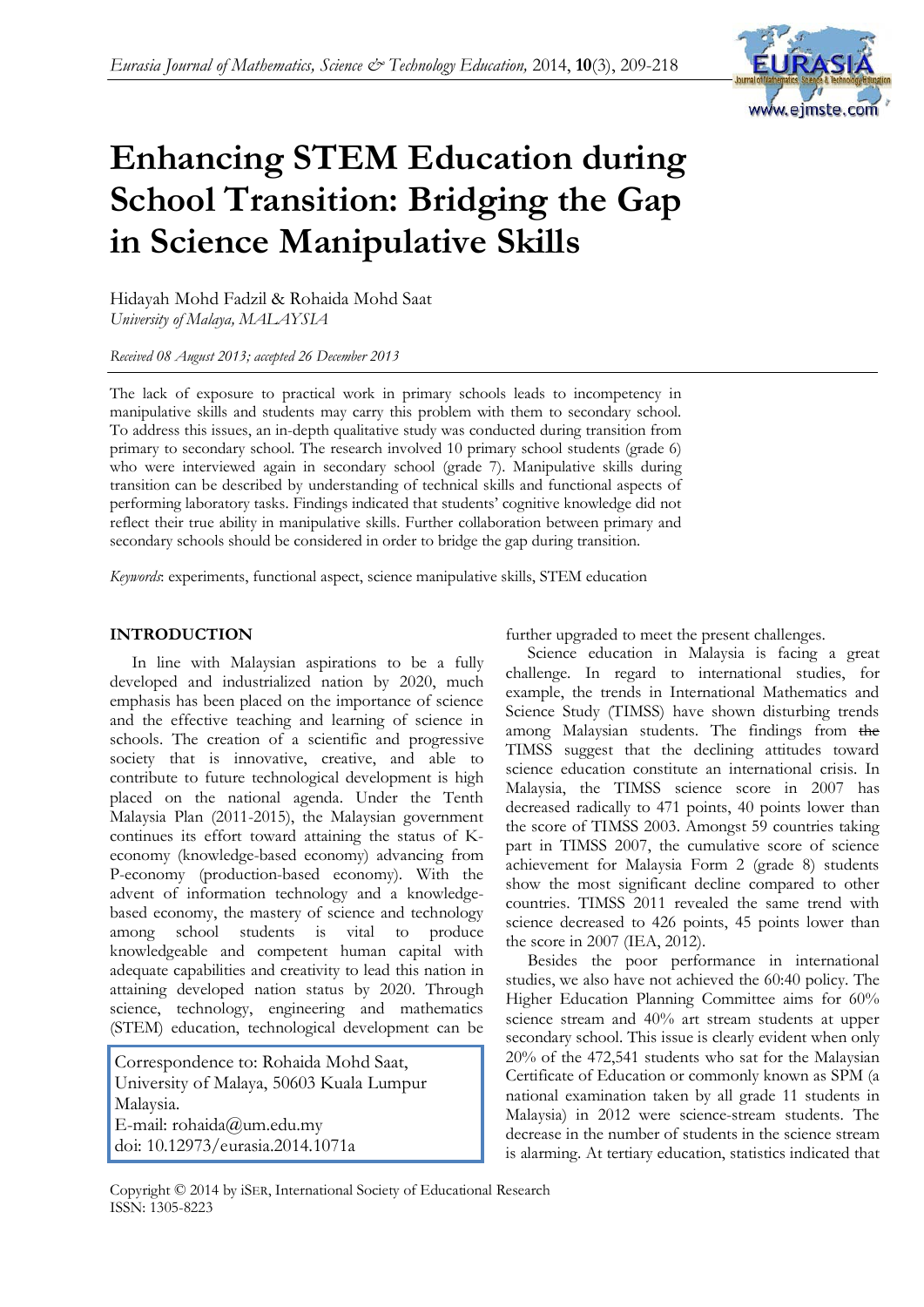

# **Enhancing STEM Education during School Transition: Bridging the Gap in Science Manipulative Skills**

Hidayah Mohd Fadzil & Rohaida Mohd Saat *University of Malaya, MALAYSIA*

*Received 08 August 2013; accepted 26 December 2013*

The lack of exposure to practical work in primary schools leads to incompetency in manipulative skills and students may carry this problem with them to secondary school. To address this issues, an in-depth qualitative study was conducted during transition from primary to secondary school. The research involved 10 primary school students (grade 6) who were interviewed again in secondary school (grade 7). Manipulative skills during transition can be described by understanding of technical skills and functional aspects of performing laboratory tasks. Findings indicated that students' cognitive knowledge did not reflect their true ability in manipulative skills. Further collaboration between primary and secondary schools should be considered in order to bridge the gap during transition.

*Keywords*: experiments, functional aspect, science manipulative skills, STEM education

# **INTRODUCTION**

In line with Malaysian aspirations to be a fully developed and industrialized nation by 2020, much emphasis has been placed on the importance of science and the effective teaching and learning of science in schools. The creation of a scientific and progressive society that is innovative, creative, and able to contribute to future technological development is high placed on the national agenda. Under the Tenth Malaysia Plan (2011-2015), the Malaysian government continues its effort toward attaining the status of Keconomy (knowledge-based economy) advancing from P-economy (production-based economy). With the advent of information technology and a knowledgebased economy, the mastery of science and technology among school students is vital to produce knowledgeable and competent human capital with adequate capabilities and creativity to lead this nation in attaining developed nation status by 2020. Through science, technology, engineering and mathematics (STEM) education, technological development can be

Correspondence to: Rohaida Mohd Saat, University of Malaya, 50603 Kuala Lumpur Malaysia. E-mail: rohaida@um.edu.my doi: 10.12973/eurasia.2014.1071a

further upgraded to meet the present challenges.

Science education in Malaysia is facing a great challenge. In regard to international studies, for example, the trends in International Mathematics and Science Study (TIMSS) have shown disturbing trends among Malaysian students. The findings from the TIMSS suggest that the declining attitudes toward science education constitute an international crisis. In Malaysia, the TIMSS science score in 2007 has decreased radically to 471 points, 40 points lower than the score of TIMSS 2003. Amongst 59 countries taking part in TIMSS 2007, the cumulative score of science achievement for Malaysia Form 2 (grade 8) students show the most significant decline compared to other countries. TIMSS 2011 revealed the same trend with science decreased to 426 points, 45 points lower than the score in 2007 (IEA, 2012).

Besides the poor performance in international studies, we also have not achieved the 60:40 policy. The Higher Education Planning Committee aims for 60% science stream and 40% art stream students at upper secondary school. This issue is clearly evident when only 20% of the 472,541 students who sat for the Malaysian Certificate of Education or commonly known as SPM (a national examination taken by all grade 11 students in Malaysia) in 2012 were science-stream students. The decrease in the number of students in the science stream is alarming. At tertiary education, statistics indicated that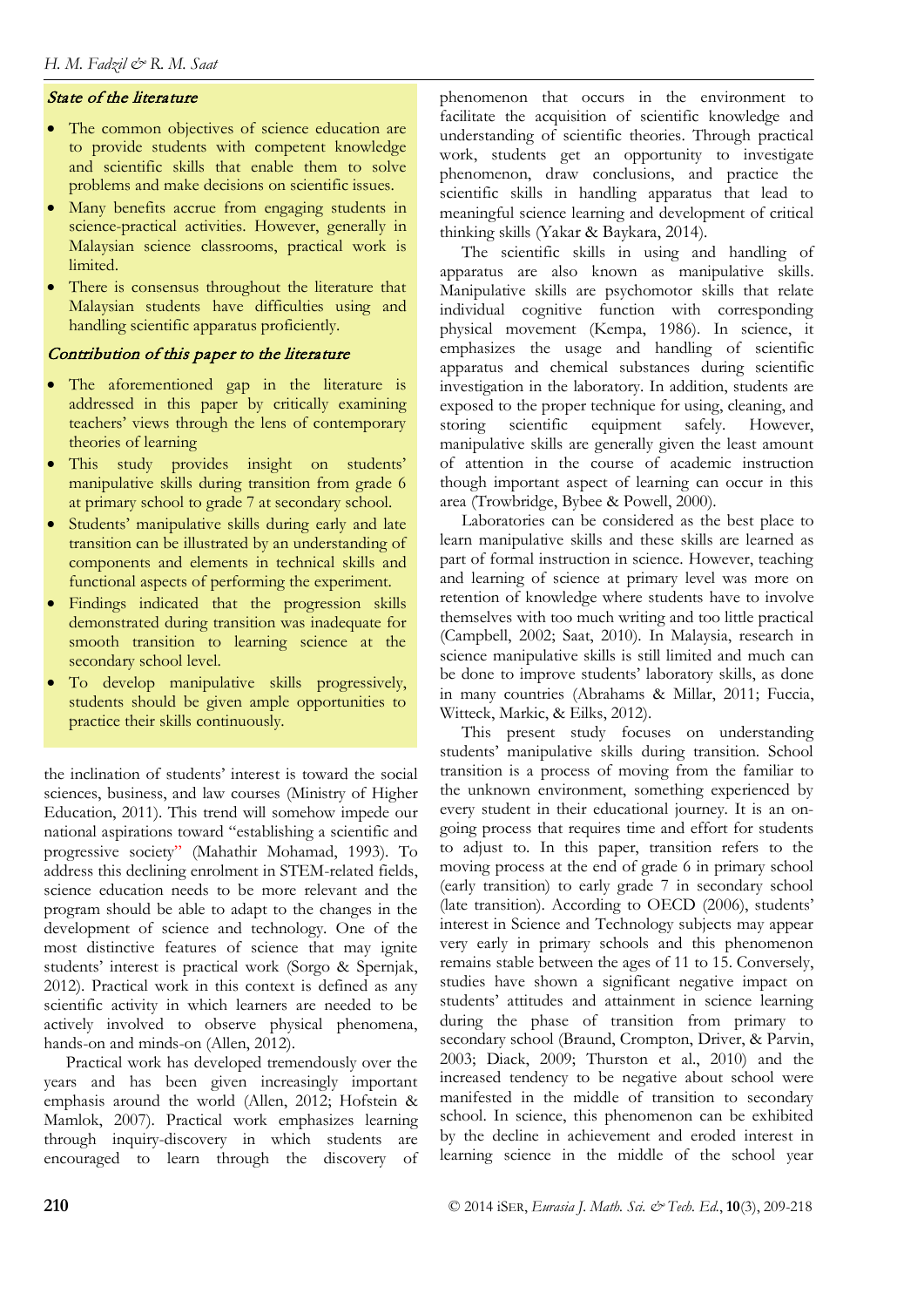# State of the literature

- The common objectives of science education are to provide students with competent knowledge and scientific skills that enable them to solve problems and make decisions on scientific issues.
- Many benefits accrue from engaging students in science-practical activities. However, generally in Malaysian science classrooms, practical work is limited.
- There is consensus throughout the literature that Malaysian students have difficulties using and handling scientific apparatus proficiently.

# Contribution of this paper to the literature

- The aforementioned gap in the literature is addressed in this paper by critically examining teachers' views through the lens of contemporary theories of learning
- This study provides insight on students' manipulative skills during transition from grade 6 at primary school to grade 7 at secondary school.
- Students' manipulative skills during early and late transition can be illustrated by an understanding of components and elements in technical skills and functional aspects of performing the experiment.
- Findings indicated that the progression skills demonstrated during transition was inadequate for smooth transition to learning science at the secondary school level.
- To develop manipulative skills progressively, students should be given ample opportunities to practice their skills continuously.

the inclination of students' interest is toward the social sciences, business, and law courses (Ministry of Higher Education, 2011). This trend will somehow impede our national aspirations toward "establishing a scientific and progressive society" (Mahathir Mohamad, 1993). To address this declining enrolment in STEM-related fields, science education needs to be more relevant and the program should be able to adapt to the changes in the development of science and technology. One of the most distinctive features of science that may ignite students' interest is practical work (Sorgo & Spernjak, 2012). Practical work in this context is defined as any scientific activity in which learners are needed to be actively involved to observe physical phenomena, hands-on and minds-on (Allen, 2012).

Practical work has developed tremendously over the years and has been given increasingly important emphasis around the world (Allen, 2012; Hofstein & Mamlok, 2007). Practical work emphasizes learning through inquiry-discovery in which students are encouraged to learn through the discovery of phenomenon that occurs in the environment to facilitate the acquisition of scientific knowledge and understanding of scientific theories. Through practical work, students get an opportunity to investigate phenomenon, draw conclusions, and practice the scientific skills in handling apparatus that lead to meaningful science learning and development of critical thinking skills (Yakar & Baykara, 2014).

The scientific skills in using and handling of apparatus are also known as manipulative skills. Manipulative skills are psychomotor skills that relate individual cognitive function with corresponding physical movement (Kempa, 1986). In science, it emphasizes the usage and handling of scientific apparatus and chemical substances during scientific investigation in the laboratory. In addition, students are exposed to the proper technique for using, cleaning, and storing scientific equipment safely. However, manipulative skills are generally given the least amount of attention in the course of academic instruction though important aspect of learning can occur in this area (Trowbridge, Bybee & Powell, 2000).

Laboratories can be considered as the best place to learn manipulative skills and these skills are learned as part of formal instruction in science. However, teaching and learning of science at primary level was more on retention of knowledge where students have to involve themselves with too much writing and too little practical (Campbell, 2002; Saat, 2010). In Malaysia, research in science manipulative skills is still limited and much can be done to improve students' laboratory skills, as done in many countries (Abrahams & Millar, 2011; Fuccia, Witteck, Markic, & Eilks, 2012).

This present study focuses on understanding students' manipulative skills during transition. School transition is a process of moving from the familiar to the unknown environment, something experienced by every student in their educational journey. It is an ongoing process that requires time and effort for students to adjust to. In this paper, transition refers to the moving process at the end of grade 6 in primary school (early transition) to early grade 7 in secondary school (late transition). According to OECD (2006), students' interest in Science and Technology subjects may appear very early in primary schools and this phenomenon remains stable between the ages of 11 to 15. Conversely, studies have shown a significant negative impact on students' attitudes and attainment in science learning during the phase of transition from primary to secondary school (Braund, Crompton, Driver, & Parvin, 2003; Diack, 2009; Thurston et al., 2010) and the increased tendency to be negative about school were manifested in the middle of transition to secondary school. In science, this phenomenon can be exhibited by the decline in achievement and eroded interest in learning science in the middle of the school year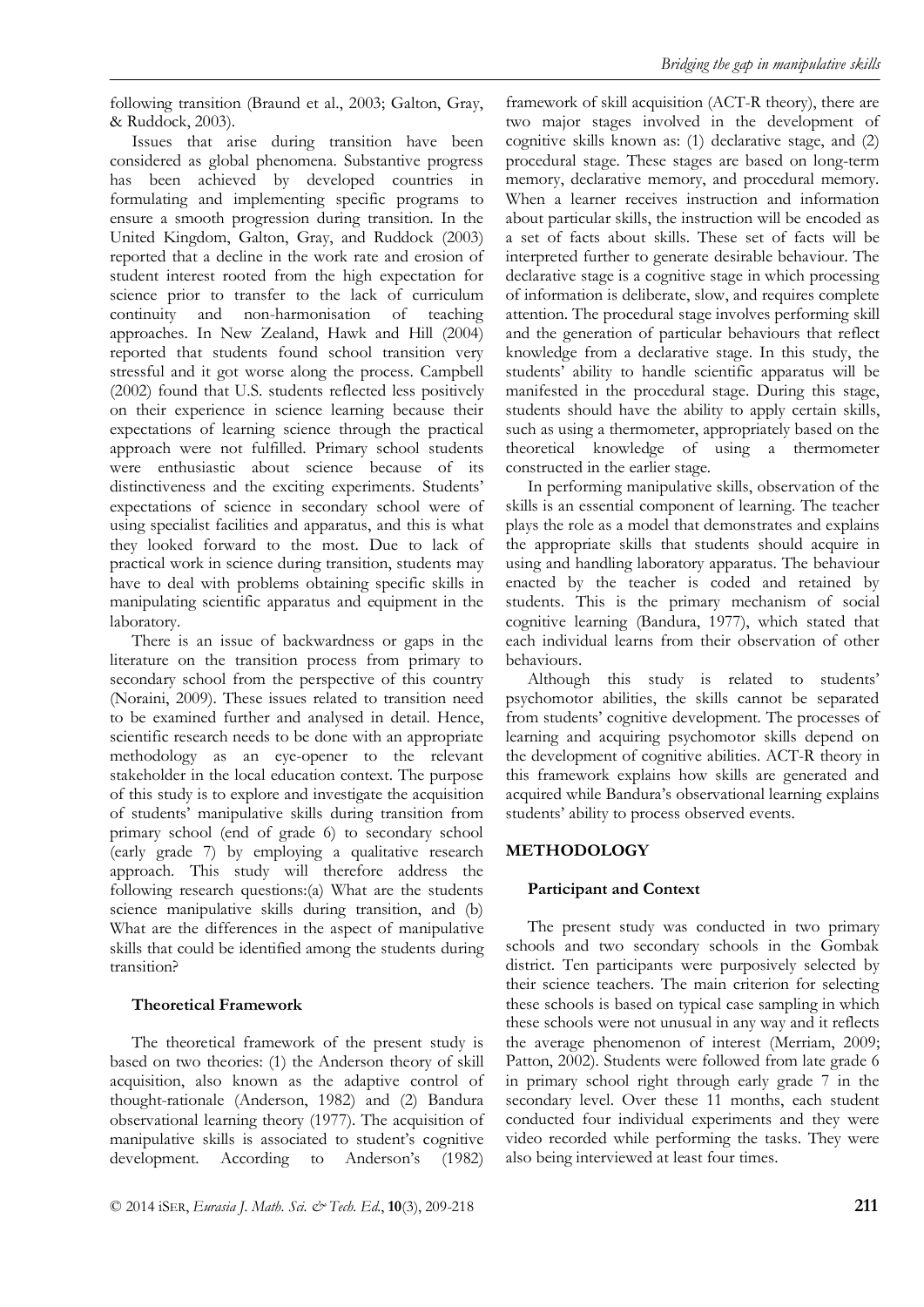following transition (Braund et al., 2003; Galton, Gray, & Ruddock, 2003).

Issues that arise during transition have been considered as global phenomena. Substantive progress has been achieved by developed countries in formulating and implementing specific programs to ensure a smooth progression during transition. In the United Kingdom, Galton, Gray, and Ruddock (2003) reported that a decline in the work rate and erosion of student interest rooted from the high expectation for science prior to transfer to the lack of curriculum continuity and non-harmonisation of teaching approaches. In New Zealand, Hawk and Hill (2004) reported that students found school transition very stressful and it got worse along the process. Campbell (2002) found that U.S. students reflected less positively on their experience in science learning because their expectations of learning science through the practical approach were not fulfilled. Primary school students were enthusiastic about science because of its distinctiveness and the exciting experiments. Students' expectations of science in secondary school were of using specialist facilities and apparatus, and this is what they looked forward to the most. Due to lack of practical work in science during transition, students may have to deal with problems obtaining specific skills in manipulating scientific apparatus and equipment in the laboratory.

There is an issue of backwardness or gaps in the literature on the transition process from primary to secondary school from the perspective of this country (Noraini, 2009). These issues related to transition need to be examined further and analysed in detail. Hence, scientific research needs to be done with an appropriate methodology as an eye-opener to the relevant stakeholder in the local education context. The purpose of this study is to explore and investigate the acquisition of students' manipulative skills during transition from primary school (end of grade 6) to secondary school (early grade 7) by employing a qualitative research approach. This study will therefore address the following research questions:(a) What are the students science manipulative skills during transition, and (b) What are the differences in the aspect of manipulative skills that could be identified among the students during transition?

# **Theoretical Framework**

The theoretical framework of the present study is based on two theories: (1) the Anderson theory of skill acquisition, also known as the adaptive control of thought-rationale (Anderson, 1982) and (2) Bandura observational learning theory (1977). The acquisition of manipulative skills is associated to student's cognitive development. According to Anderson's (1982)

framework of skill acquisition (ACT-R theory), there are two major stages involved in the development of cognitive skills known as: (1) declarative stage, and (2) procedural stage. These stages are based on long-term memory, declarative memory, and procedural memory. When a learner receives instruction and information about particular skills, the instruction will be encoded as a set of facts about skills. These set of facts will be interpreted further to generate desirable behaviour. The declarative stage is a cognitive stage in which processing of information is deliberate, slow, and requires complete attention. The procedural stage involves performing skill and the generation of particular behaviours that reflect knowledge from a declarative stage. In this study, the students' ability to handle scientific apparatus will be manifested in the procedural stage. During this stage, students should have the ability to apply certain skills, such as using a thermometer, appropriately based on the theoretical knowledge of using a thermometer constructed in the earlier stage.

In performing manipulative skills, observation of the skills is an essential component of learning. The teacher plays the role as a model that demonstrates and explains the appropriate skills that students should acquire in using and handling laboratory apparatus. The behaviour enacted by the teacher is coded and retained by students. This is the primary mechanism of social cognitive learning (Bandura, 1977), which stated that each individual learns from their observation of other behaviours.

Although this study is related to students' psychomotor abilities, the skills cannot be separated from students' cognitive development. The processes of learning and acquiring psychomotor skills depend on the development of cognitive abilities. ACT-R theory in this framework explains how skills are generated and acquired while Bandura's observational learning explains students' ability to process observed events.

# **METHODOLOGY**

# **Participant and Context**

The present study was conducted in two primary schools and two secondary schools in the Gombak district. Ten participants were purposively selected by their science teachers. The main criterion for selecting these schools is based on typical case sampling in which these schools were not unusual in any way and it reflects the average phenomenon of interest (Merriam, 2009; Patton, 2002). Students were followed from late grade 6 in primary school right through early grade 7 in the secondary level. Over these 11 months, each student conducted four individual experiments and they were video recorded while performing the tasks. They were also being interviewed at least four times.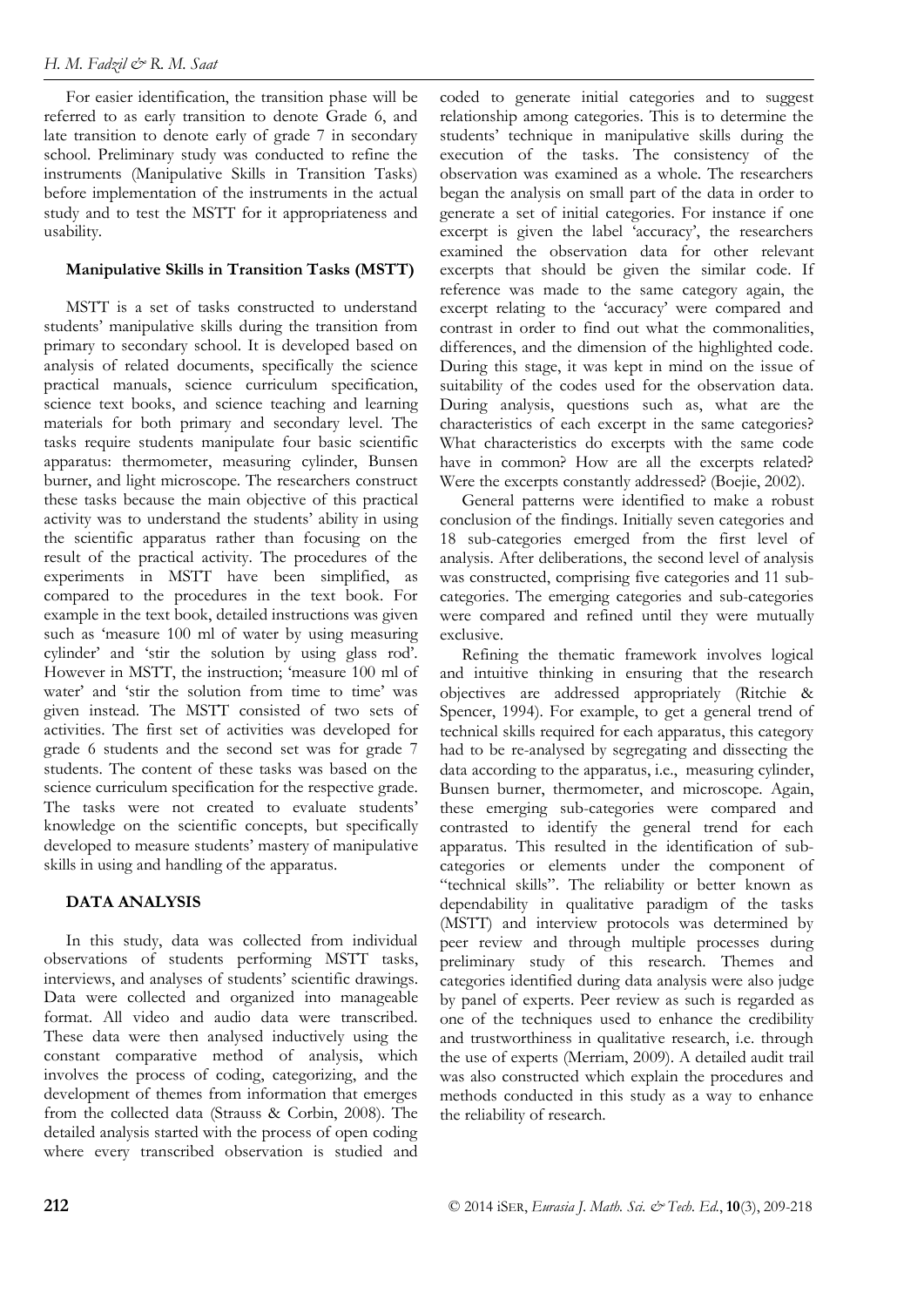For easier identification, the transition phase will be referred to as early transition to denote Grade 6, and late transition to denote early of grade 7 in secondary school. Preliminary study was conducted to refine the instruments (Manipulative Skills in Transition Tasks) before implementation of the instruments in the actual study and to test the MSTT for it appropriateness and usability.

# **Manipulative Skills in Transition Tasks (MSTT)**

MSTT is a set of tasks constructed to understand students' manipulative skills during the transition from primary to secondary school. It is developed based on analysis of related documents, specifically the science practical manuals, science curriculum specification, science text books, and science teaching and learning materials for both primary and secondary level. The tasks require students manipulate four basic scientific apparatus: thermometer, measuring cylinder, Bunsen burner, and light microscope. The researchers construct these tasks because the main objective of this practical activity was to understand the students' ability in using the scientific apparatus rather than focusing on the result of the practical activity. The procedures of the experiments in MSTT have been simplified, as compared to the procedures in the text book. For example in the text book, detailed instructions was given such as 'measure 100 ml of water by using measuring cylinder' and 'stir the solution by using glass rod'. However in MSTT, the instruction; 'measure 100 ml of water' and 'stir the solution from time to time' was given instead. The MSTT consisted of two sets of activities. The first set of activities was developed for grade 6 students and the second set was for grade 7 students. The content of these tasks was based on the science curriculum specification for the respective grade. The tasks were not created to evaluate students' knowledge on the scientific concepts, but specifically developed to measure students' mastery of manipulative skills in using and handling of the apparatus.

## **DATA ANALYSIS**

In this study, data was collected from individual observations of students performing MSTT tasks, interviews, and analyses of students' scientific drawings. Data were collected and organized into manageable format. All video and audio data were transcribed. These data were then analysed inductively using the constant comparative method of analysis, which involves the process of coding, categorizing, and the development of themes from information that emerges from the collected data (Strauss & Corbin, 2008). The detailed analysis started with the process of open coding where every transcribed observation is studied and coded to generate initial categories and to suggest relationship among categories. This is to determine the students' technique in manipulative skills during the execution of the tasks. The consistency of the observation was examined as a whole. The researchers began the analysis on small part of the data in order to generate a set of initial categories. For instance if one excerpt is given the label 'accuracy', the researchers examined the observation data for other relevant excerpts that should be given the similar code. If reference was made to the same category again, the excerpt relating to the 'accuracy' were compared and contrast in order to find out what the commonalities, differences, and the dimension of the highlighted code. During this stage, it was kept in mind on the issue of suitability of the codes used for the observation data. During analysis, questions such as, what are the characteristics of each excerpt in the same categories? What characteristics do excerpts with the same code have in common? How are all the excerpts related? Were the excerpts constantly addressed? (Boejie, 2002).

General patterns were identified to make a robust conclusion of the findings. Initially seven categories and 18 sub-categories emerged from the first level of analysis. After deliberations, the second level of analysis was constructed, comprising five categories and 11 subcategories. The emerging categories and sub-categories were compared and refined until they were mutually exclusive.

Refining the thematic framework involves logical and intuitive thinking in ensuring that the research objectives are addressed appropriately (Ritchie & Spencer, 1994). For example, to get a general trend of technical skills required for each apparatus, this category had to be re-analysed by segregating and dissecting the data according to the apparatus, i.e., measuring cylinder, Bunsen burner, thermometer, and microscope. Again, these emerging sub-categories were compared and contrasted to identify the general trend for each apparatus. This resulted in the identification of subcategories or elements under the component of "technical skills". The reliability or better known as dependability in qualitative paradigm of the tasks (MSTT) and interview protocols was determined by peer review and through multiple processes during preliminary study of this research. Themes and categories identified during data analysis were also judge by panel of experts. Peer review as such is regarded as one of the techniques used to enhance the credibility and trustworthiness in qualitative research, i.e. through the use of experts (Merriam, 2009). A detailed audit trail was also constructed which explain the procedures and methods conducted in this study as a way to enhance the reliability of research.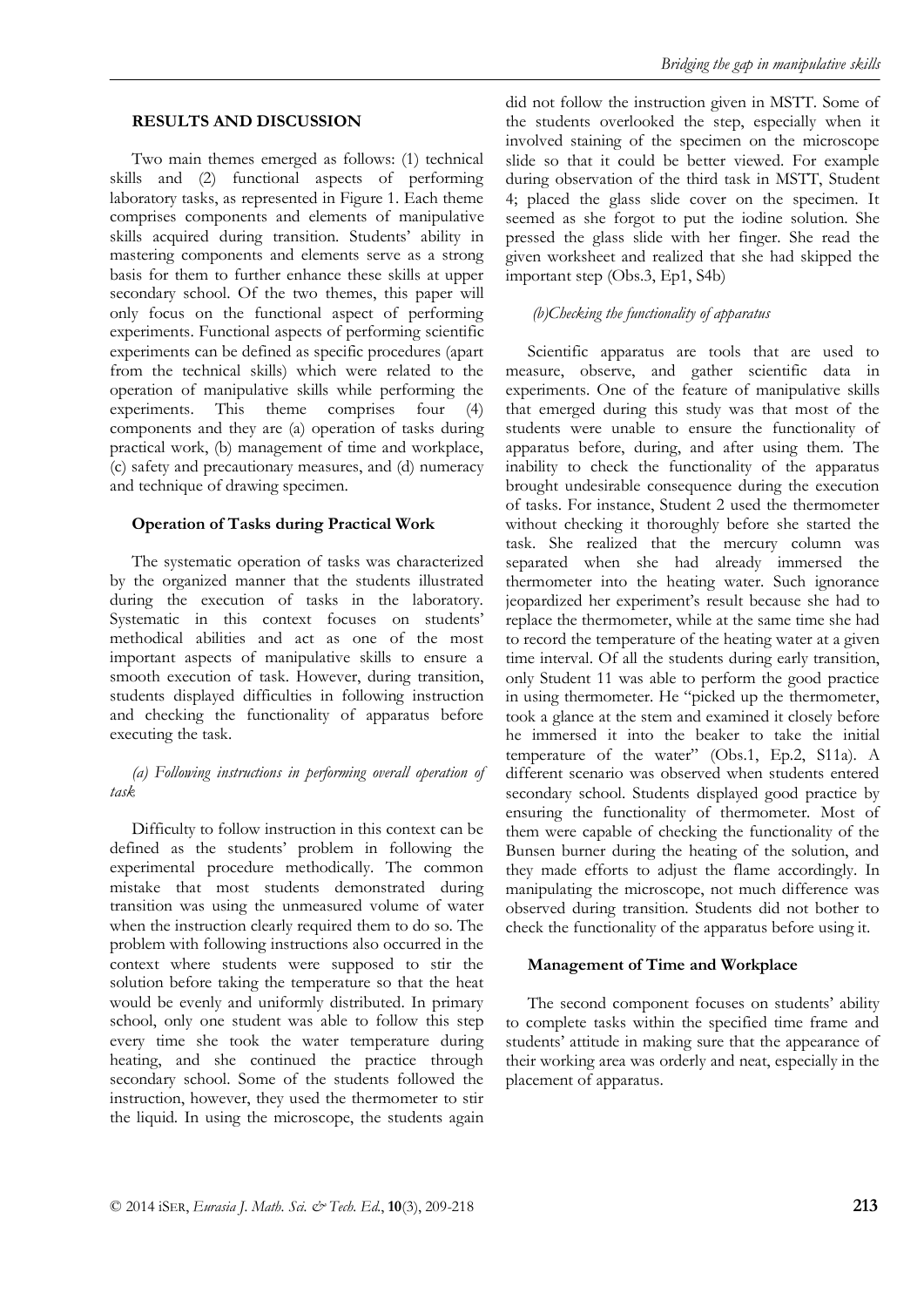#### **RESULTS AND DISCUSSION**

Two main themes emerged as follows: (1) technical skills and (2) functional aspects of performing laboratory tasks, as represented in Figure 1. Each theme comprises components and elements of manipulative skills acquired during transition. Students' ability in mastering components and elements serve as a strong basis for them to further enhance these skills at upper secondary school. Of the two themes, this paper will only focus on the functional aspect of performing experiments. Functional aspects of performing scientific experiments can be defined as specific procedures (apart from the technical skills) which were related to the operation of manipulative skills while performing the experiments. This theme comprises four (4) components and they are (a) operation of tasks during practical work, (b) management of time and workplace, (c) safety and precautionary measures, and (d) numeracy and technique of drawing specimen.

#### **Operation of Tasks during Practical Work**

The systematic operation of tasks was characterized by the organized manner that the students illustrated during the execution of tasks in the laboratory. Systematic in this context focuses on students' methodical abilities and act as one of the most important aspects of manipulative skills to ensure a smooth execution of task. However, during transition, students displayed difficulties in following instruction and checking the functionality of apparatus before executing the task.

## *(a) Following instructions in performing overall operation of task*

Difficulty to follow instruction in this context can be defined as the students' problem in following the experimental procedure methodically. The common mistake that most students demonstrated during transition was using the unmeasured volume of water when the instruction clearly required them to do so. The problem with following instructions also occurred in the context where students were supposed to stir the solution before taking the temperature so that the heat would be evenly and uniformly distributed. In primary school, only one student was able to follow this step every time she took the water temperature during heating, and she continued the practice through secondary school. Some of the students followed the instruction, however, they used the thermometer to stir the liquid. In using the microscope, the students again did not follow the instruction given in MSTT. Some of the students overlooked the step, especially when it involved staining of the specimen on the microscope slide so that it could be better viewed. For example during observation of the third task in MSTT, Student 4; placed the glass slide cover on the specimen. It seemed as she forgot to put the iodine solution. She pressed the glass slide with her finger. She read the given worksheet and realized that she had skipped the important step (Obs.3, Ep1, S4b)

#### *(b)Checking the functionality of apparatus*

Scientific apparatus are tools that are used to measure, observe, and gather scientific data in experiments. One of the feature of manipulative skills that emerged during this study was that most of the students were unable to ensure the functionality of apparatus before, during, and after using them. The inability to check the functionality of the apparatus brought undesirable consequence during the execution of tasks. For instance, Student 2 used the thermometer without checking it thoroughly before she started the task. She realized that the mercury column was separated when she had already immersed the thermometer into the heating water. Such ignorance jeopardized her experiment's result because she had to replace the thermometer, while at the same time she had to record the temperature of the heating water at a given time interval. Of all the students during early transition, only Student 11 was able to perform the good practice in using thermometer. He "picked up the thermometer, took a glance at the stem and examined it closely before he immersed it into the beaker to take the initial temperature of the water" (Obs.1, Ep.2, S11a). A different scenario was observed when students entered secondary school. Students displayed good practice by ensuring the functionality of thermometer. Most of them were capable of checking the functionality of the Bunsen burner during the heating of the solution, and they made efforts to adjust the flame accordingly. In manipulating the microscope, not much difference was observed during transition. Students did not bother to check the functionality of the apparatus before using it.

## **Management of Time and Workplace**

The second component focuses on students' ability to complete tasks within the specified time frame and students' attitude in making sure that the appearance of their working area was orderly and neat, especially in the placement of apparatus.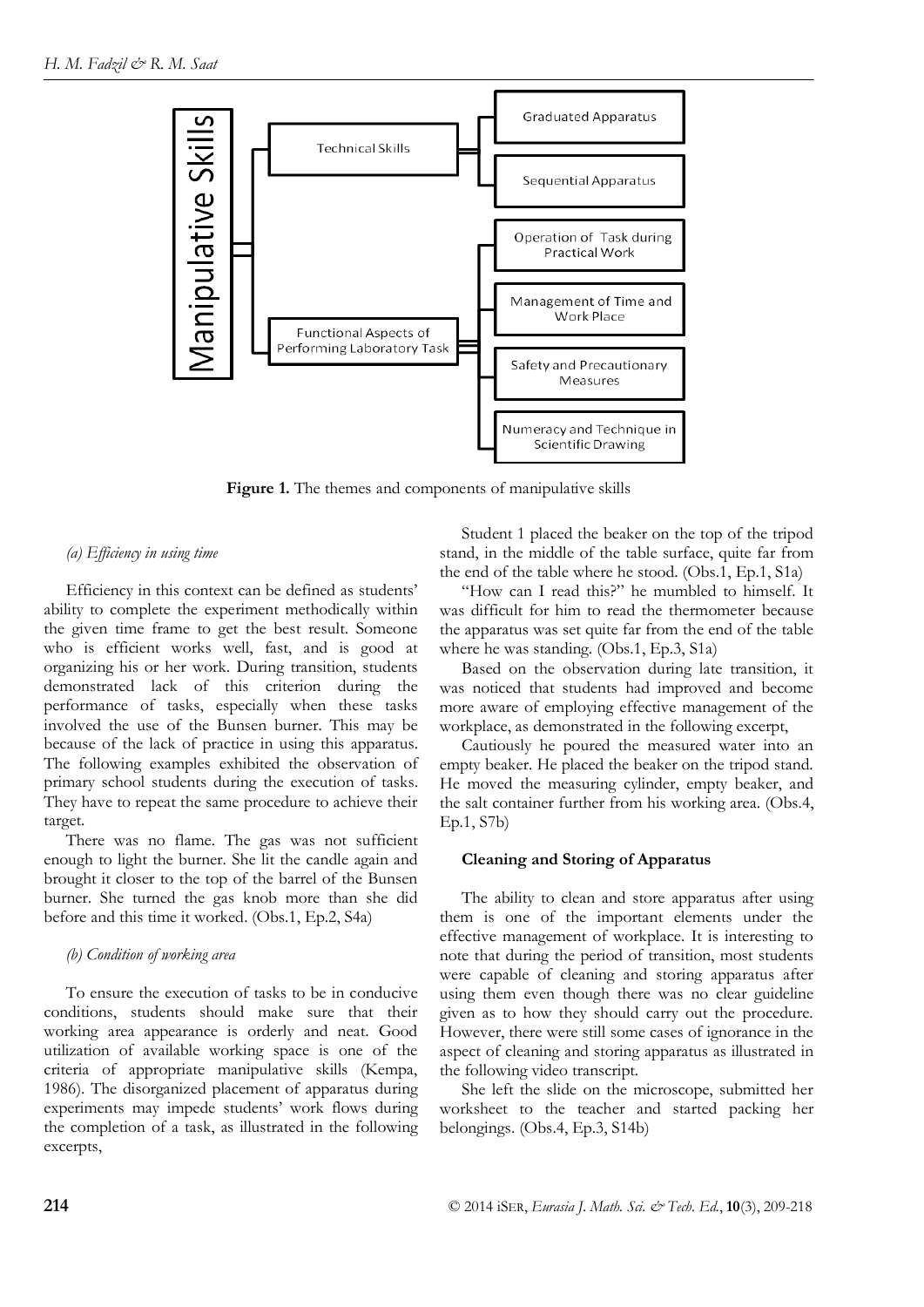

**Figure 1.** The themes and components of manipulative skills

#### *(a) Efficiency in using time*

Efficiency in this context can be defined as students' ability to complete the experiment methodically within the given time frame to get the best result. Someone who is efficient works well, fast, and is good at organizing his or her work. During transition, students demonstrated lack of this criterion during the performance of tasks, especially when these tasks involved the use of the Bunsen burner. This may be because of the lack of practice in using this apparatus. The following examples exhibited the observation of primary school students during the execution of tasks. They have to repeat the same procedure to achieve their target.

There was no flame. The gas was not sufficient enough to light the burner. She lit the candle again and brought it closer to the top of the barrel of the Bunsen burner. She turned the gas knob more than she did before and this time it worked. (Obs.1, Ep.2, S4a)

#### *(b) Condition of working area*

To ensure the execution of tasks to be in conducive conditions, students should make sure that their working area appearance is orderly and neat. Good utilization of available working space is one of the criteria of appropriate manipulative skills (Kempa, 1986). The disorganized placement of apparatus during experiments may impede students' work flows during the completion of a task, as illustrated in the following excerpts,

Student 1 placed the beaker on the top of the tripod stand, in the middle of the table surface, quite far from the end of the table where he stood. (Obs.1, Ep.1, S1a)

"How can I read this?" he mumbled to himself. It was difficult for him to read the thermometer because the apparatus was set quite far from the end of the table where he was standing. (Obs.1, Ep.3, S1a)

Based on the observation during late transition, it was noticed that students had improved and become more aware of employing effective management of the workplace, as demonstrated in the following excerpt,

Cautiously he poured the measured water into an empty beaker. He placed the beaker on the tripod stand. He moved the measuring cylinder, empty beaker, and the salt container further from his working area. (Obs.4, Ep.1, S7b)

## **Cleaning and Storing of Apparatus**

The ability to clean and store apparatus after using them is one of the important elements under the effective management of workplace. It is interesting to note that during the period of transition, most students were capable of cleaning and storing apparatus after using them even though there was no clear guideline given as to how they should carry out the procedure. However, there were still some cases of ignorance in the aspect of cleaning and storing apparatus as illustrated in the following video transcript.

She left the slide on the microscope, submitted her worksheet to the teacher and started packing her belongings. (Obs.4, Ep.3, S14b)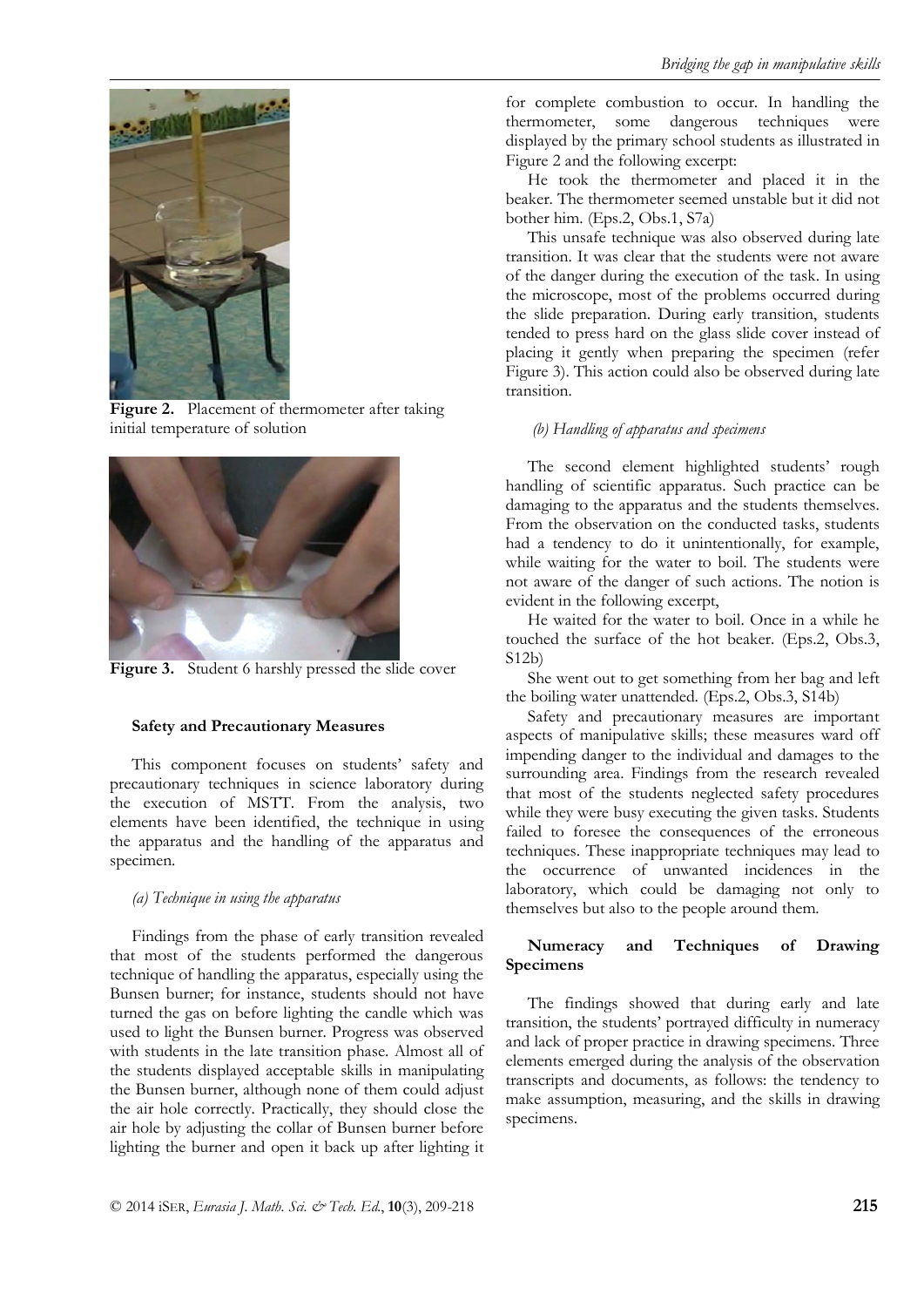

Figure 2. Placement of thermometer after taking initial temperature of solution



Figure 3. Student 6 harshly pressed the slide cover

## **Safety and Precautionary Measures**

This component focuses on students' safety and precautionary techniques in science laboratory during the execution of MSTT. From the analysis, two elements have been identified, the technique in using the apparatus and the handling of the apparatus and specimen.

## *(a) Technique in using the apparatus*

Findings from the phase of early transition revealed that most of the students performed the dangerous technique of handling the apparatus, especially using the Bunsen burner; for instance, students should not have turned the gas on before lighting the candle which was used to light the Bunsen burner. Progress was observed with students in the late transition phase. Almost all of the students displayed acceptable skills in manipulating the Bunsen burner, although none of them could adjust the air hole correctly. Practically, they should close the air hole by adjusting the collar of Bunsen burner before lighting the burner and open it back up after lighting it for complete combustion to occur. In handling the thermometer, some dangerous techniques were displayed by the primary school students as illustrated in Figure 2 and the following excerpt:

He took the thermometer and placed it in the beaker. The thermometer seemed unstable but it did not bother him. (Eps.2, Obs.1, S7a)

This unsafe technique was also observed during late transition. It was clear that the students were not aware of the danger during the execution of the task. In using the microscope, most of the problems occurred during the slide preparation. During early transition, students tended to press hard on the glass slide cover instead of placing it gently when preparing the specimen (refer Figure 3). This action could also be observed during late transition.

## *(b) Handling of apparatus and specimens*

The second element highlighted students' rough handling of scientific apparatus. Such practice can be damaging to the apparatus and the students themselves. From the observation on the conducted tasks, students had a tendency to do it unintentionally, for example, while waiting for the water to boil. The students were not aware of the danger of such actions. The notion is evident in the following excerpt,

He waited for the water to boil. Once in a while he touched the surface of the hot beaker. (Eps.2, Obs.3, S12b)

She went out to get something from her bag and left the boiling water unattended. (Eps.2, Obs.3, S14b)

Safety and precautionary measures are important aspects of manipulative skills; these measures ward off impending danger to the individual and damages to the surrounding area. Findings from the research revealed that most of the students neglected safety procedures while they were busy executing the given tasks. Students failed to foresee the consequences of the erroneous techniques. These inappropriate techniques may lead to the occurrence of unwanted incidences in the laboratory, which could be damaging not only to themselves but also to the people around them.

# **Numeracy and Techniques of Drawing Specimens**

The findings showed that during early and late transition, the students' portrayed difficulty in numeracy and lack of proper practice in drawing specimens. Three elements emerged during the analysis of the observation transcripts and documents, as follows: the tendency to make assumption, measuring, and the skills in drawing specimens.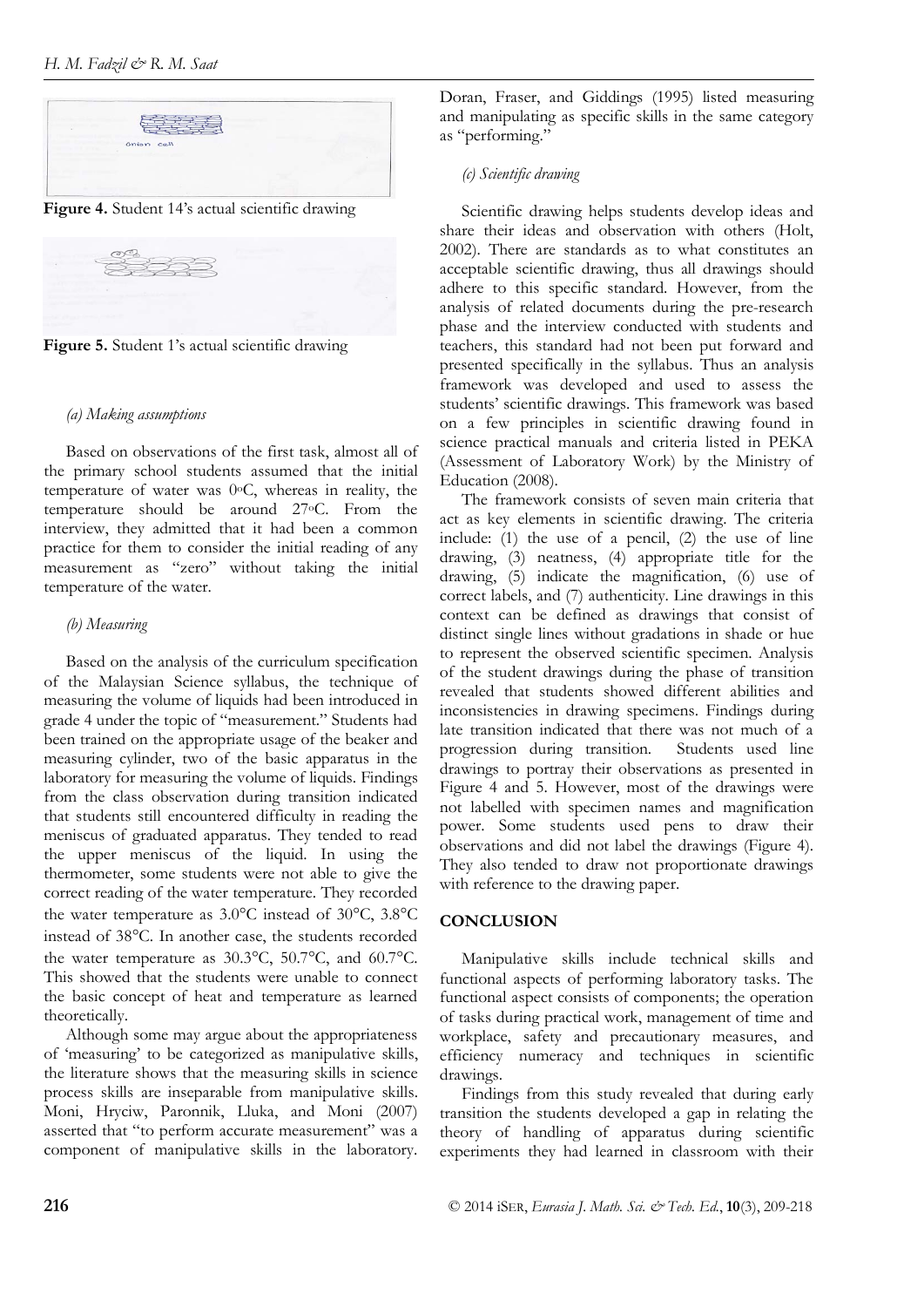

**Figure 4.** Student 14's actual scientific drawing



**Figure 5.** Student 1's actual scientific drawing

## *(a) Making assumptions*

Based on observations of the first task, almost all of the primary school students assumed that the initial temperature of water was 0oC, whereas in reality, the temperature should be around 27oC. From the interview, they admitted that it had been a common practice for them to consider the initial reading of any measurement as "zero" without taking the initial temperature of the water.

# *(b) Measuring*

Based on the analysis of the curriculum specification of the Malaysian Science syllabus, the technique of measuring the volume of liquids had been introduced in grade 4 under the topic of "measurement." Students had been trained on the appropriate usage of the beaker and measuring cylinder, two of the basic apparatus in the laboratory for measuring the volume of liquids. Findings from the class observation during transition indicated that students still encountered difficulty in reading the meniscus of graduated apparatus. They tended to read the upper meniscus of the liquid. In using the thermometer, some students were not able to give the correct reading of the water temperature. They recorded the water temperature as 3.0°C instead of 30°C, 3.8°C instead of 38°C. In another case, the students recorded the water temperature as 30.3°C, 50.7°C, and 60.7°C. This showed that the students were unable to connect the basic concept of heat and temperature as learned theoretically.

Although some may argue about the appropriateness of 'measuring' to be categorized as manipulative skills, the literature shows that the measuring skills in science process skills are inseparable from manipulative skills. Moni, Hryciw, Paronnik, Lluka, and Moni (2007) asserted that "to perform accurate measurement" was a component of manipulative skills in the laboratory. Doran, Fraser, and Giddings (1995) listed measuring and manipulating as specific skills in the same category as "performing."

# *(c) Scientific drawing*

Scientific drawing helps students develop ideas and share their ideas and observation with others (Holt, 2002). There are standards as to what constitutes an acceptable scientific drawing, thus all drawings should adhere to this specific standard. However, from the analysis of related documents during the pre-research phase and the interview conducted with students and teachers, this standard had not been put forward and presented specifically in the syllabus. Thus an analysis framework was developed and used to assess the students' scientific drawings. This framework was based on a few principles in scientific drawing found in science practical manuals and criteria listed in PEKA (Assessment of Laboratory Work) by the Ministry of Education (2008).

The framework consists of seven main criteria that act as key elements in scientific drawing. The criteria include: (1) the use of a pencil, (2) the use of line drawing, (3) neatness, (4) appropriate title for the drawing, (5) indicate the magnification, (6) use of correct labels, and (7) authenticity. Line drawings in this context can be defined as drawings that consist of distinct single lines without gradations in shade or hue to represent the observed scientific specimen. Analysis of the student drawings during the phase of transition revealed that students showed different abilities and inconsistencies in drawing specimens. Findings during late transition indicated that there was not much of a progression during transition. Students used line drawings to portray their observations as presented in Figure 4 and 5. However, most of the drawings were not labelled with specimen names and magnification power. Some students used pens to draw their observations and did not label the drawings (Figure 4). They also tended to draw not proportionate drawings with reference to the drawing paper.

# **CONCLUSION**

Manipulative skills include technical skills and functional aspects of performing laboratory tasks. The functional aspect consists of components; the operation of tasks during practical work, management of time and workplace, safety and precautionary measures, and efficiency numeracy and techniques in scientific drawings.

Findings from this study revealed that during early transition the students developed a gap in relating the theory of handling of apparatus during scientific experiments they had learned in classroom with their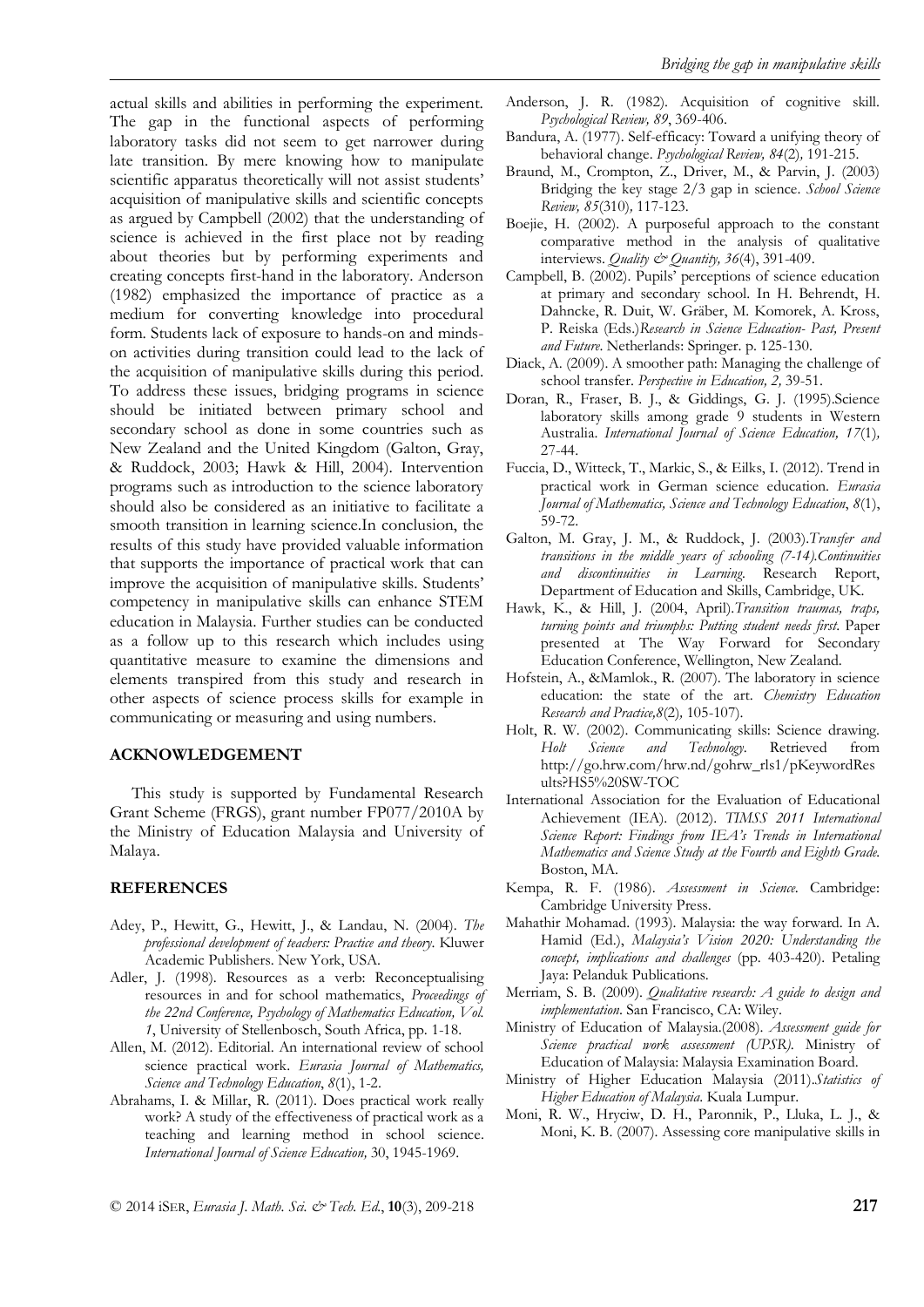actual skills and abilities in performing the experiment. The gap in the functional aspects of performing laboratory tasks did not seem to get narrower during late transition. By mere knowing how to manipulate scientific apparatus theoretically will not assist students' acquisition of manipulative skills and scientific concepts as argued by Campbell (2002) that the understanding of science is achieved in the first place not by reading about theories but by performing experiments and creating concepts first-hand in the laboratory. Anderson (1982) emphasized the importance of practice as a medium for converting knowledge into procedural form. Students lack of exposure to hands-on and mindson activities during transition could lead to the lack of the acquisition of manipulative skills during this period. To address these issues, bridging programs in science should be initiated between primary school and secondary school as done in some countries such as New Zealand and the United Kingdom (Galton, Gray, & Ruddock, 2003; Hawk & Hill, 2004). Intervention programs such as introduction to the science laboratory should also be considered as an initiative to facilitate a smooth transition in learning science.In conclusion, the results of this study have provided valuable information that supports the importance of practical work that can improve the acquisition of manipulative skills. Students' competency in manipulative skills can enhance STEM education in Malaysia. Further studies can be conducted as a follow up to this research which includes using quantitative measure to examine the dimensions and elements transpired from this study and research in other aspects of science process skills for example in communicating or measuring and using numbers.

## **ACKNOWLEDGEMENT**

This study is supported by Fundamental Research Grant Scheme (FRGS), grant number FP077/2010A by the Ministry of Education Malaysia and University of Malaya.

#### **REFERENCES**

- Adey, P., Hewitt, G., Hewitt, J., & Landau, N. (2004). *The professional development of teachers: Practice and theory*. Kluwer Academic Publishers. New York, USA.
- Adler, J. (1998). Resources as a verb: Reconceptualising resources in and for school mathematics, *Proceedings of the 22nd Conference, Psychology of Mathematics Education, Vol. 1*, University of Stellenbosch, South Africa, pp. 1-18.
- Allen, M. (2012). Editorial. An international review of school science practical work. *Eurasia Journal of Mathematics, Science and Technology Education*, *8*(1), 1-2.
- Abrahams, I. & Millar, R. (2011). Does practical work really work? A study of the effectiveness of practical work as a teaching and learning method in school science. *International Journal of Science Education,* 30, 1945-1969.
- Anderson, J. R. (1982). Acquisition of cognitive skill. *Psychological Review, 89*, 369-406.
- Bandura, A. (1977). Self-efficacy: Toward a unifying theory of behavioral change. *Psychological Review, 84*(2)*,* 191-215.
- Braund, M., Crompton, Z., Driver, M., & Parvin, J. (2003) Bridging the key stage 2/3 gap in science. *School Science Review, 85*(310)*,* 117-123.
- Boejie, H. (2002). A purposeful approach to the constant comparative method in the analysis of qualitative interviews. *Quality & Quantity, 36*(4), 391-409.
- Campbell, B. (2002). Pupils' perceptions of science education at primary and secondary school. In H. Behrendt, H. Dahncke, R. Duit, W. Gräber, M. Komorek, A. Kross, P. Reiska (Eds.)*Research in Science Education- Past, Present and Future*. Netherlands: Springer. p. 125-130.
- Diack, A. (2009). A smoother path: Managing the challenge of school transfer. *Perspective in Education, 2,* 39-51.
- Doran, R., Fraser, B. J., & Giddings, G. J. (1995).Science laboratory skills among grade 9 students in Western Australia. *International Journal of Science Education, 17*(1)*,* 27-44.
- Fuccia, D., Witteck, T., Markic, S., & Eilks, I. (2012). Trend in practical work in German science education. *Eurasia Journal of Mathematics, Science and Technology Education*, *8*(1), 59-72.
- Galton, M. Gray, J. M., & Ruddock, J. (2003).*Transfer and transitions in the middle years of schooling (7-14).Continuities and discontinuities in Learning.* Research Report, Department of Education and Skills, Cambridge, UK.
- Hawk, K., & Hill, J. (2004, April).*Transition traumas, traps, turning points and triumphs: Putting student needs first*. Paper presented at The Way Forward for Secondary Education Conference, Wellington, New Zealand.
- Hofstein, A., &Mamlok., R. (2007). The laboratory in science education: the state of the art. *Chemistry Education Research and Practice,8*(2)*,* 105-107).
- Holt, R. W. (2002). Communicating skills: Science drawing. *Holt Science and Technology*. Retrieved from http://go.hrw.com/hrw.nd/gohrw\_rls1/pKeywordRes ults?HS5%20SW-TOC
- International Association for the Evaluation of Educational Achievement (IEA). (2012). *TIMSS 2011 International Science Report: Findings from IEA's Trends in International Mathematics and Science Study at the Fourth and Eighth Grade.*  Boston, MA.
- Kempa, R. F. (1986). *Assessment in Science*. Cambridge: Cambridge University Press.
- Mahathir Mohamad. (1993). Malaysia: the way forward. In A. Hamid (Ed.), *Malaysia's Vision 2020: Understanding the concept, implications and challenges* (pp. 403-420). Petaling Jaya: Pelanduk Publications.
- Merriam, S. B. (2009). *Qualitative research: A guide to design and implementation*. San Francisco, CA: Wiley.
- Ministry of Education of Malaysia.(2008). *Assessment guide for Science practical work assessment (UPSR)*. Ministry of Education of Malaysia: Malaysia Examination Board.
- Ministry of Higher Education Malaysia (2011).*Statistics of Higher Education of Malaysia*. Kuala Lumpur.
- Moni, R. W., Hryciw, D. H., Paronnik, P., Lluka, L. J., & Moni, K. B. (2007). Assessing core manipulative skills in

© 2014 iSER, *Eurasia J. Math. Sci. & Tech. Ed.*, **10**(3), 209-218 **217**